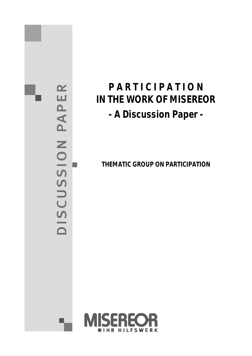PAPER DISCUSSION

# **P A R T I C I P A T I O N IN THE WORK OF MISEREOR - A Discussion Paper -**

**THEMATIC GROUP ON PARTICIPATION**

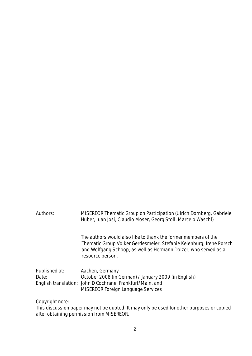# Authors: MISEREOR Thematic Group on Participation (Ulrich Dornberg, Gabriele Huber, Juan Josi, Claudio Moser, Georg Stoll, Marcelo Waschl) The authors would also like to thank the former members of the Thematic Group Volker Gerdesmeier, Stefanie Keienburg, Irene Porsch and Wolfgang Schoop, as well as Hermann Dolzer, who served as a resource person.

| Published at: | Aachen, Germany                                           |
|---------------|-----------------------------------------------------------|
| Date:         | October 2008 (in German) / January 2009 (in English)      |
|               | English translation: John D Cochrane, Frankfurt/Main, and |
|               | <b>MISEREOR Foreign Language Services</b>                 |

Copyright note:

This discussion paper may not be quoted. It may only be used for other purposes or copied after obtaining permission from MISEREOR.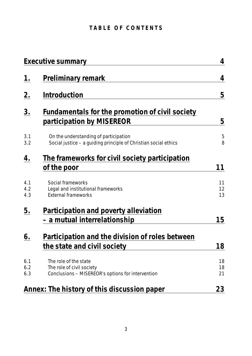# TABLE OF CONTENTS

|                   | Executive summary                                                                                        | 4              |
|-------------------|----------------------------------------------------------------------------------------------------------|----------------|
| $\underline{1}$ . | Preliminary remark                                                                                       | 4              |
| 2.                | Introduction                                                                                             | 5              |
| 3.                | Fundamentals for the promotion of civil society<br>participation by MISEREOR                             | 5              |
| 3.1<br>3.2        | On the understanding of participation<br>Social justice – a guiding principle of Christian social ethics | 5<br>8         |
| <u>4.</u>         | The frameworks for civil society participation<br>of the poor                                            | 11             |
| 4.1<br>4.2<br>4.3 | Social frameworks<br>Legal and institutional frameworks<br><b>External frameworks</b>                    | 11<br>12<br>13 |
| <u>5.</u>         | Participation and poverty alleviation<br>– a mutual interrelationship                                    | 15             |
| 6.                | Participation and the division of roles between<br>the state and civil society                           | 18             |
| 6.1<br>6.2<br>6.3 | The role of the state<br>The role of civil society<br>Conclusions - MISEREOR's options for intervention  | 18<br>18<br>21 |
|                   | <u>Annex: The history of this discussion paper</u>                                                       | 23             |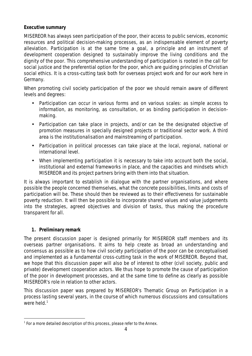# **Executive summary**

MISEREOR has always seen participation of the poor, their access to public services, economic resources and political decision-making processes, as an indispensable element of poverty alleviation. Participation is at the same time a goal, a principle and an instrument of development cooperation designed to sustainably improve the living conditions and the dignity of the poor. This comprehensive understanding of participation is rooted in the call for social justice and the preferential option for the poor, which are guiding principles of Christian social ethics. It is a cross-cutting task both for overseas project work and for our work here in Germany.

When promoting civil society participation of the poor we should remain aware of different levels and degrees:

- Participation can occur in various forms and on various scales: as simple access to information, as monitoring, as consultation, or as binding participation in decisionmaking.
- Participation can take place in projects, and/or can be the designated objective of promotion measures in specially designed projects or traditional sector work. A third area is the institutionalisation and mainstreaming of participation.
- Participation in political processes can take place at the local, regional, national or international level.
- When implementing participation it is necessary to take into account both the social, institutional and external frameworks in place, and the capacities and mindsets which MISEREOR and its project partners bring with them into that situation.

It is always important to establish in dialogue with the partner organisations, and where possible the people concerned themselves, what the concrete possibilities, limits and costs of participation will be. These should then be reviewed as to their effectiveness for sustainable poverty reduction. It will then be possible to incorporate shared values and value judgements into the strategies, agreed objectives and division of tasks, thus making the procedure transparent for all.

# **1. Preliminary remark**

The present discussion paper is designed primarily for MISEREOR staff members and its overseas partner organisations. It aims to help create as broad an understanding and consensus as possible as to how civil society participation of the poor can be conceptualised and implemented as a fundamental cross-cutting task in the work of MISEREOR. Beyond that, we hope that this discussion paper will also be of interest to other (civil society, public and private) development cooperation actors. We thus hope to promote the cause of participation of the poor in development processes, and at the same time to define as clearly as possible MISEREOR's role in relation to other actors.

This discussion paper was prepared by MISEREOR's Thematic Group on Participation in a process lasting several years, in the course of which numerous discussions and consultations were held. $1$ 

<sup>&</sup>lt;sup>1</sup> For a more detailed description of this process, please refer to the Annex.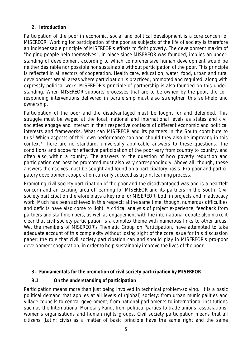# **2. Introduction**

Participation of the poor in economic, social and political development is a core concern of MISEREOR. Working for participation of the poor as subjects of the life of society is therefore an indispensable principle of MISEREOR's efforts to fight poverty. The development maxim of "helping people help themselves", in place since MISEREOR was founded, implies an understanding of development according to which comprehensive human development would be neither desirable nor possible nor sustainable without participation of the poor. This principle is reflected in all sectors of cooperation. Health care, education, water, food, urban and rural development are all areas where participation is practiced, promoted and required, along with expressly political work. MISEREOR's principle of partnership is also founded on this understanding. When MISEREOR supports processes that are to be owned by the poor, the corresponding interventions delivered in partnership must also strengthen this self-help and ownership.

Participation of the poor and the disadvantaged must be fought for and defended. This struggle must be waged at the local, national and international levels as states and civil societies engage and interact in their respective contexts of different economic and political interests and frameworks. What can MISEREOR and its partners in the South contribute to this? Which aspects of their own performance can and should they also be improving in this context? There are no standard, universally applicable answers to these questions. The conditions and scope for effective participation of the poor vary from country to country, and often also within a country. The answers to the question of how poverty reduction and participation can best be promoted must also vary correspondingly. Above all, though, these answers themselves must be sought and found on a participatory basis. Pro-poor and participatory development cooperation can only succeed as a joint learning process.

Promoting civil society participation of the poor and the disadvantaged was and is a heartfelt concern and an exciting area of learning for MISEREOR and its partners in the South. Civil society participation therefore plays a key role for MISEREOR, both in projects and in advocacy work. Much has been achieved in this respect; at the same time, though, numerous difficulties and deficits have also come to light. A critical analysis of project experience, feedback from partners and staff members, as well as engagement with the international debate also make it clear that civil society participation is a complex theme with numerous links to other areas. We, the members of MISEREOR's Thematic Group on Participation, have attempted to take adequate account of this complexity without losing sight of the core issue for this discussion paper: the role that civil society participation can and should play in MISEREOR's pro-poor development cooperation, in order to help sustainably improve the lives of the poor.

- **3. Fundamentals for the promotion of civil society participation by MISEREOR**
- **3.1 On the understanding of participation**

Participation means more than just being involved in technical problem-solving. It is a basic political demand that applies at all levels of (global) society: from urban municipalities and village councils to central government, from national parliaments to international institutions such as the International Monetary Fund, from political parties to trade unions, associations, women's organisations and human rights groups. Civil society participation means that all citizens (Latin: civis) as a matter of basic principle have the same right and the same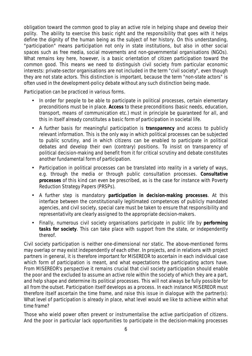obligation toward the common good to play an active role in helping shape and develop their polity. The ability to exercise this basic right and the responsibility that goes with it helps define the dignity of the human being as the subject of her history. On this understanding, "participation" means participation not only in state institutions, but also in other social spaces such as free media, social movements and non-governmental organisations (NGOs). What remains key here, however, is a basic orientation of citizen participation toward the common good. This means we need to distinguish civil society from particular economic interests: private-sector organisations are not included in the term "civil society", even though they are not state actors. This distinction is important, because the term "non-state actors" is often used in the development-policy debate without any such distinction being made.

Participation can be practiced in various forms.

- In order for people to be able to participate in political processes, certain elementary preconditions must be in place. **Access** to these preconditions (basic needs, education, transport, means of communication etc.) must in principle be guaranteed for all, and this in itself already constitutes a basic form of participation in societal life.
- A further basis for meaningful participation is **transparency** and access to publicly relevant information. This is the only way in which political processes can be subjected to public scrutiny, and in which citizens can be enabled to participate in political debates and develop their own (contrary) positions. To insist on transparency of political decision-making and benefit from it for critical scrutiny and debate constitutes another fundamental form of participation.
- Participation in political processes can be translated into reality in a variety of ways, e.g. through the media or through public consultation processes. **Consultative processes** of this kind can even be prescribed, as is the case for instance with Poverty Reduction Strategy Papers (PRSPs).
- A further step is mandatory **participation in decision-making processes**. At this interface between the constitutionally legitimated competences of publicly mandated agencies, and civil society, special care must be taken to ensure that responsibility and representativity are clearly assigned to the appropriate decision-makers.
- Finally, numerous civil society organisations participate in public life by **performing tasks for society**. This can take place with support from the state, or independently thereof.

Civil society participation is neither one-dimensional nor static. The above-mentioned forms may overlap or may exist independently of each other. In projects, and in relations with project partners in general, it is therefore important for MISEREOR to ascertain in each individual case which form of participation is meant, and what expectations the participating actors have. From MISEREOR's perspective it remains crucial that civil society participation should enable the poor and the excluded to assume an active role within the society of which they are a part, and help shape and determine its political processes. This will not always be fully possible for all from the outset. Participation itself develops as a process. In each instance MISEREOR must therefore itself ascertain the time frame, and raise this issue in dialogue with the partner(s): What level of participation is already in place, what level would we like to achieve within what time frame?

Those who wield power often prevent or instrumentalise the active participation of citizens. And the poor in particular lack opportunities to participate in the decision-making processes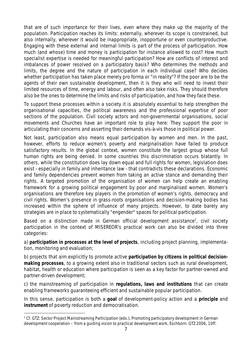that are of such importance for their lives, even where they make up the majority of the population. Participation reaches its limits: externally, wherever its scope is constrained, but also internally, wherever it would be inappropriate, inopportune or even counterproductive. Engaging with these external and internal limits is part of the process of participation. How much (and whose) time and money is participation for instance allowed to cost? How much specialist expertise is needed for meaningful participation? How are conflicts of interest and imbalances of power resolved on a participatory basis? Who determines the methods and limits, the degree and the nature of participation in each individual case? Who decides whether participation has taken place merely pro forma or "in reality"? If the poor are to be the agents of their own sustainable development, then it is they who will need to invest their limited resources of time, energy and labour, and often also take risks. They should therefore also be the ones to determine the limits and risks of participation, and how they face these.

To support these processes within a society it is absolutely essential to help strengthen the organisational capacities, the political awareness and the professional expertise of poor sections of the population. Civil society actors and non-governmental organisations, social movements and Churches have an important role to play here: They support the poor in articulating their concerns and asserting their demands vis-à-vis those in political power.

Not least, participation also means equal participation by women and men. In the past, however, efforts to reduce women's poverty and marginalisation have failed to produce satisfactory results. In the global context, women constitute the largest group whose full human rights are being denied. In some countries this discrimination occurs blatantly. In others, while the constitution does lay down equal and full rights for women, legislation does exist - especially in family and inheritance law - that contradicts these declarations. Economic and family dependencies prevent women from taking an active stance and demanding their rights. A targeted promotion of the organisation of women can help create an enabling framework for a growing political engagement by poor and marginalised women. Women's organisations are therefore key players in the promotion of women's rights, democracy and civil rights. Women's presence in grass-roots organisations and decision-making bodies has increased within the sphere of influence of many projects. However, to date barely any strategies are in place to systematically "engender" spaces for political participation.

Based on a distinction made in German official development assistance<sup>2</sup>, civil society participation in the context of MISEREOR's practical work can also be divided into three categories:

a) **participation in processes at the level of projects**, including project planning, implementation, monitoring and evaluation;

b) projects that aim explicitly to promote active **participation by citizens in political decisionmaking processes**, to a growing extent also in traditional sectors such as rural development, habitat, health or education where participation is seen as a key factor for partner-owned and partner-driven development;

c) the mainstreaming of participation in **regulations, laws and institutions** that can create enabling frameworks guaranteeing efficient and sustainable popular participation.

In this sense, participation is both a **goal** of development-policy action and a **principle** and **instrument** of poverty reduction and democratisation.

<sup>&</sup>lt;sup>2</sup> Cf. GTZ: Sector Project Mainstreaming Participation (eds.), Promoting participatory development in German development cooperation – from a guiding vision to practical development work, Eschborn: GTZ 2006, 10ff.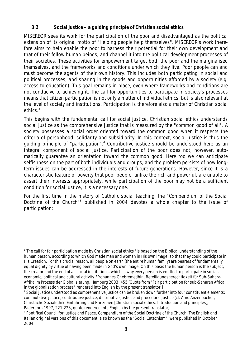**3.2 Social justice – a guiding principle of Christian social ethics**

MISEREOR sees its work for the participation of the poor and disadvantaged as the political extension of its original motto of "Helping people help themselves". MISEREOR's work therefore aims to help enable the poor to harness their potential for their own development and that of their fellow human beings, and channel it into the political development processes of their societies. These activities for empowerment target both the poor and the marginalised themselves, and the frameworks and conditions under which they live. Poor people can and must become the agents of their own history. This includes both participating in social and political processes, and sharing in the goods and opportunities afforded by a society (e.g. access to education). This goal remains in place, even where frameworks and conditions are not conducive to achieving it. The call for opportunities to participate in society's processes means that citizen participation is not only a matter of individual ethics, but is also relevant at the level of society and institutions. Participation is therefore also a matter of Christian social ethics.<sup>3</sup>

This begins with the fundamental call for social justice. Christian social ethics understands social justice as the comprehensive justice that is measured by the "common good of all". A society possesses a social order oriented toward the common good when it respects the criteria of personhood, solidarity and subsidiarity. In this context, social justice is thus the guiding principle of "participation".<sup>4</sup> Contributive justice should be understood here as an integral component of social justice. Participation of the poor does not, however, automatically guarantee an orientation toward the common good. Here too we can anticipate selfishness on the part of both individuals and groups, and the problem persists of how longterm issues can be addressed in the interests of future generations. However, since it is a characteristic feature of poverty that poor people, unlike the rich and powerful, are unable to assert their interests appropriately, while participation of the poor may not be a sufficient condition for social justice, it is a necessary one.

For the first time in the history of Catholic social teaching, the "Compendium of the Social Doctrine of the Church"<sup>5</sup> published in 2004 devotes a whole chapter to the issue of participation:

<sup>&</sup>lt;sup>3</sup> The call for fair participation made by Christian social ethics "is based on the Biblical understanding of the human person, according to which God made man and woman in His own image, so that they could participate in His Creation. For this crucial reason, all people on earth (the entire human family) are bearers of fundamentally equal dignity by virtue of having been made in God's own image. On this basis the human person is the subject, the creator and the end of all social institutions, which is why every person is entitled to participate in social, economic, political and cultural activity." Yohannes Ghebremedhin, Beteiligungsgerechtigkeit für Sub-Sahara-Afrika im Prozess der Globalisierung, Hamburg 2003, 455 [Quote from "Fair participation for sub-Saharan Africa in the globalisation process" rendered into English by the present translator.]

<sup>4</sup> Social justice understood as comprehensive justice can be broken down further into four constituent elements: commutative justice, contributive justice, distributive justice and procedural justice (cf. Arno Anzenbacher, Christliche Sozialethik. Einführung und Prinzipien [Christian social ethics. Introduction and principles], Paderborn 1997, 221-223, quote rendered into English by the present translator).

<sup>5</sup> Pontifical Council for Justice and Peace, Compendium of the Social Doctrine of the Church. The English and Italian original versions of this document, also known as the "Social Catechism", were published in October 2004.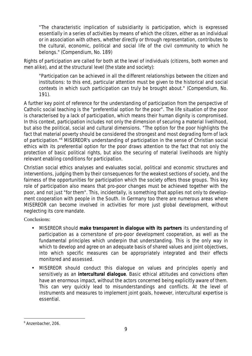"The characteristic implication of subsidiarity is participation, which is expressed essentially in a series of activities by means of which the citizen, either as an individual or in association with others, whether directly or through representation, contributes to the cultural, economic, political and social life of the civil community to which he belongs." (Compendium, No. 189)

Rights of participation are called for both at the level of individuals (citizens, both women and men alike), and at the structural level (the state and society):

"Participation can be achieved in all the different relationships between the citizen and institutions: to this end, particular attention must be given to the historical and social contexts in which such participation can truly be brought about." (Compendium, No. 191).

A further key point of reference for the understanding of participation from the perspective of Catholic social teaching is the "preferential option for the poor". The life situation of the poor is characterised by a lack of participation, which means their human dignity is compromised. In this context, participation includes not only the dimension of securing a material livelihood, but also the political, social and cultural dimensions. "The option for the poor highlights the fact that material poverty should be considered the strongest and most degrading form of lack of participation."<sup>6</sup> MISEREOR's understanding of participation in the sense of Christian social ethics with its preferential option for the poor draws attention to the fact that not only the protection of basic political rights, but also the securing of material livelihoods are highly relevant enabling conditions for participation.

Christian social ethics analyses and evaluates social, political and economic structures and interventions, judging them by their consequences for the weakest sections of society, and the fairness of the opportunities for participation which the society offers those groups. This key role of participation also means that pro-poor changes must be achieved together with the poor, and not just "for them". This, incidentally, is something that applies not only to development cooperation with people in the South. In Germany too there are numerous areas where MISEREOR can become involved in activities for more just global development, without neglecting its core mandate.

Conclusions:

- MISEREOR should **make transparent in dialogue with its partners** its understanding of participation as a cornerstone of pro-poor development cooperation, as well as the fundamental principles which underpin that understanding. This is the only way in which to develop and agree on an adequate basis of shared values and joint objectives, into which specific measures can be appropriately integrated and their effects monitored and assessed.
- MISEREOR should conduct this dialogue on values and principles openly and sensitively as an **intercultural dialogue**. Basic ethical attitudes and convictions often have an enormous impact, without the actors concerned being explicitly aware of them. This can very quickly lead to misunderstandings and conflicts. At the level of instruments and measures to implement joint goals, however, intercultural expertise is essential.

<sup>6</sup> Anzenbacher, 206.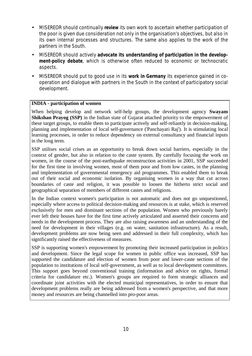- MISEREOR should continually **review** its own work to ascertain whether participation of the poor is given due consideration not only in the organisation's objectives, but also in its own internal processes and structures. The same also applies to the work of the partners in the South.
- MISEREOR should actively **advocate its understanding of participation in the development-policy debate**, which is otherwise often reduced to economic or technocratic aspects.
- MISEREOR should put to good use in its **work in Germany** its experience gained in cooperation and dialogue with partners in the South in the context of participatory social development.

#### **INDIA - participation of women**

When helping develop and network self-help groups, the development agency **Swayam Shikshan Prayog (SSP)** in the Indian state of Gujarat attached priority to the empowerment of these target groups, to enable them to participate actively and self-reliantly in decision-making, planning and implementation of local self-governance ('Panchayati Raj'). It is stimulating local learning processes, in order to reduce dependency on external consultancy and financial inputs in the long term.

SSP utilises social crises as an opportunity to break down social barriers, especially in the context of gender, but also in relation to the caste system. By carefully focusing the work on women, in the course of the post-earthquake reconstruction activities in 2001, SSP succeeded for the first time in involving women, most of them poor and from low castes, in the planning and implementation of governmental emergency aid programmes. This enabled them to break out of their social and economic isolation. By organising women in a way that cut across boundaries of caste and religion, it was possible to loosen the hitherto strict social and geographical separation of members of different castes and religions.

In the Indian context women's participation is not automatic and does not go unquestioned, especially where access to political decision-making and resources is at stake, which is reserved exclusively for men and dominant sections of the population. Women who previously barely ever left their houses have for the first time actively articulated and asserted their concerns and needs in the development process. They are also raising awareness and an understanding of the need for development in their villages (e.g. on water, sanitation infrastructure). As a result, development problems are now being seen and addressed in their full complexity, which has significantly raised the effectiveness of measures.

SSP is supporting women's empowerment by promoting their increased participation in politics and development. Since the legal scope for women in public office was increased, SSP has supported the candidature and election of women from poor and lower-caste sections of the population to institutions of local self-government, as well as to local development committees. This support goes beyond conventional training (information and advice on rights, formal criteria for candidature etc.). Women's groups are required to form strategic alliances and coordinate joint activities with the elected municipal representatives, in order to ensure that development problems really are being addressed from a women's perspective, and that more money and resources are being channelled into pro-poor areas.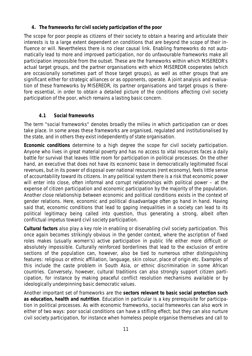**4. The frameworks for civil society participation of the poor**

The scope for poor people as citizens of their society to obtain a hearing and articulate their interests is to a large extent dependent on conditions that are beyond the scope of their influence or will. Nevertheless there is no clear causal link. Enabling frameworks do not automatically lead to more and improved participation, nor do unfavourable frameworks make all participation impossible from the outset. These are the frameworks within which MISEREOR's actual target groups, and the partner organisations with which MISEREOR cooperates (which are occasionally sometimes part of those target groups), as well as other groups that are significant either for strategic alliances or as opponents, operate. A joint analysis and evaluation of these frameworks by MISEREOR, its partner organisations and target groups is therefore essential, in order to obtain a detailed picture of the conditions affecting civil society participation of the poor, which remains a lasting basic concern.

# **4.1 Social frameworks**

The term "social frameworks" denotes broadly the milieu in which participation can or does take place. In some areas these frameworks are organised, regulated and institutionalised by the state, and in others they exist independently of state organisation.

**Economic conditions** determine to a high degree the scope for civil society participation. Anyone who lives in great material poverty and has no access to vital resources faces a daily battle for survival that leaves little room for participation in political processes. On the other hand, an executive that does not have its economic base in democratically legitimated fiscal revenues, but in its power of disposal over national resources (rent economy), feels little sense of accountability toward its citizens. In any political system there is a risk that economic power will enter into close, often informal and corrupt relationships with political power – at the expense of citizen participation and economic participation by the majority of the population. Another close relationship between economic and political conditions exists in the context of gender relations. Here, economic and political disadvantage often go hand in hand. Having said that, economic conditions that lead to gaping inequalities in a society can lead to its political legitimacy being called into question, thus generating a strong, albeit often conflictual impetus toward civil society participation.

**Cultural factors** also play a key role in enabling or disenabling civil society participation. This once again becomes strikingly obvious in the gender context, where the ascription of fixed roles makes (usually women's) active participation in public life either more difficult or absolutely impossible. Culturally reinforced borderlines that lead to the exclusion of entire sections of the population can, however, also be tied to numerous other distinguishing features: religious or ethnic affiliation, language, skin colour, place of origin etc. Examples of this include the caste problem in South Asia, or ethnic discrimination in some African countries. Conversely, however, cultural traditions can also strongly support citizen participation, for instance by making peaceful conflict resolution mechanisms available or by ideologically underpinning basic democratic values.

Another important set of frameworks are the **sectors relevant to basic social protection such as education, health and nutrition**. Education in particular is a key prerequisite for participation in political processes. As with economic frameworks, social frameworks can also work in either of two ways: poor social conditions can have a stifling effect; but they can also nurture civil society participation, for instance when homeless people organise themselves and call to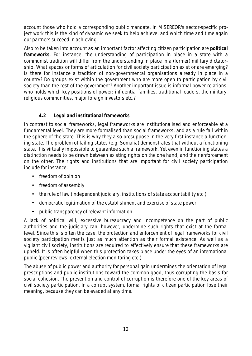account those who hold a corresponding public mandate. In MISEREOR's sector-specific project work this is the kind of dynamic we seek to help achieve, and which time and time again our partners succeed in achieving.

Also to be taken into account as an important factor affecting citizen participation are **political frameworks**. For instance, the understanding of participation in place in a state with a communist tradition will differ from the understanding in place in a (former) military dictatorship. What spaces or forms of articulation for civil society participation exist or are emerging? Is there for instance a tradition of non-governmental organisations already in place in a country? Do groups exist within the government who are more open to participation by civil society than the rest of the government? Another important issue is informal power relations: who holds which key positions of power: influential families, traditional leaders, the military, religious communities, major foreign investors etc.?

# **4.2 Legal and institutional frameworks**

In contrast to social frameworks, legal frameworks are institutionalised and enforceable at a fundamental level. They are more formalised than social frameworks, and as a rule fall within the sphere of the state. This is why they also presuppose in the very first instance a functioning state. The problem of failing states (e.g. Somalia) demonstrates that without a functioning state, it is virtually impossible to guarantee such a framework. Yet even in functioning states a distinction needs to be drawn between existing rights on the one hand, and their enforcement on the other. The rights and institutions that are important for civil society participation include for instance:

- freedom of opinion
- freedom of assembly
- the rule of law (independent judiciary, institutions of state accountability etc.)
- democratic legitimation of the establishment and exercise of state power
- public transparency of relevant information.

A lack of political will, excessive bureaucracy and incompetence on the part of public authorities and the judiciary can, however, undermine such rights that exist at the formal level. Since this is often the case, the protection and enforcement of legal frameworks for civil society participation merits just as much attention as their formal existence. As well as a vigilant civil society, institutions are required to effectively ensure that these frameworks are upheld. It is often helpful when this protection takes place under the eyes of an international public (peer reviews, external election monitoring etc.).

The abuse of public power and authority for personal gain undermines the orientation of legal prescriptions and public institutions toward the common good, thus corrupting the basis for social cohesion. The prevention and control of corruption is therefore one of the key areas of civil society participation. In a corrupt system, formal rights of citizen participation lose their meaning, because they can be evaded at any time.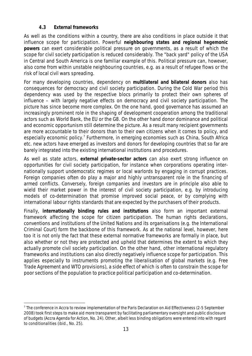# **4.3 External frameworks**

As well as the conditions within a country, there are also conditions in place outside it that influence scope for participation. Powerful **neighbouring states and regional hegemonic powers** can exert considerable political pressure on governments, as a result of which the scope for civil society participation is reduced considerably. The "back yard" policy of the USA in Central and South America is one familiar example of this. Political pressure can, however, also come from within unstable neighbouring countries, e.g. as a result of refugee flows or the risk of local civil wars spreading.

For many developing countries, dependency on **multilateral and bilateral donors** also has consequences for democracy and civil society participation. During the Cold War period this dependency was used by the respective blocs primarily to protect their own spheres of influence – with largely negative effects on democracy and civil society participation. The picture has since become more complex. On the one hand, good governance has assumed an increasingly prominent role in the shaping of development cooperation among the traditional actors such as World Bank, the EU or the G8. On the other hand donor dominance and political and economic opportunism still determine the picture. As a result many recipient governments are more accountable to their donors than to their own citizens when it comes to policy, and especially economic policy.<sup>7</sup> Furthermore, in emerging economies such as China, South Africa etc. new actors have emerged as investors and donors for developing countries that so far are barely integrated into the existing international institutions and procedures.

As well as state actors, **external private-sector actors** can also exert strong influence on opportunities for civil society participation, for instance when corporations operating internationally support undemocratic regimes or local warlords by engaging in corrupt practices. Foreign companies often do play a major and highly untransparent role in the financing of armed conflicts. Conversely, foreign companies and investors are in principle also able to wield their market power in the interest of civil society participation, e.g. by introducing models of co-determination that promise improved social peace, or by complying with international labour rights standards that are expected by the purchasers of their products.

Finally, **internationally binding rules and institutions** also form an important external framework affecting the scope for citizen participation. The human rights declarations, conventions and institutions of the United Nations and its organisations (e.g. the International Criminal Court) form the backbone of this framework. As at the national level, however, here too it is not only the fact that these external normative frameworks are formally in place, but also whether or not they are protected and upheld that determines the extent to which they actually promote civil society participation. On the other hand, other international regulatory frameworks and institutions can also directly negatively influence scope for participation. This applies especially to instruments promoting the liberalisation of global markets (e.g. Free Trade Agreement and WTO provisions), a side effect of which is often to constrain the scope for poor sections of the population to practice political participation and co-determination.

<sup>&</sup>lt;sup>7</sup> The conference in Accra to review implementation of the Paris Declaration on Aid Effectiveness (2-5 September 2008) took first steps to make aid more transparent by facilitating parliamentary oversight and public disclosure of budgets (Accra Agenda for Action, No. 24). Other, albeit less binding obligations were entered into with regard to conditionalities (ibid., No. 25).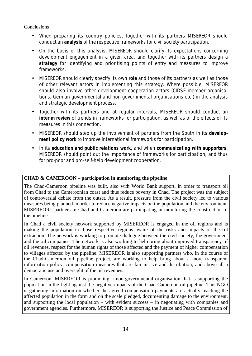**Conclusions** 

- When preparing its country policies, together with its partners MISEREOR should conduct an **analysis** of the respective frameworks for civil society participation.
- On the basis of this analysis, MISEREOR should clarify its expectations concerning development engagement in a given area, and together with its partners design a **strategy** for identifying and prioritising points of entry and measures to improve frameworks.
- MISEREOR should clearly specify its own **role** and those of its partners as well as those of other relevant actors in implementing this strategy. Where possible, MISEREOR should also involve other development cooperation actors (CIDSE member organisations, German governmental and non-governmental organisations etc.) in the analysis and strategic development process.
- Together with its partners and at regular intervals, MISEREOR should conduct an **interim review** of trends in frameworks for participation, as well as of the effects of its measures in this connection.
- MISEREOR should step up the involvement of partners from the South in its **development policy work** to improve international frameworks for participation.
- In its **education and public relations work**, and when **communicating with supporters**, MISEREOR should point out the importance of frameworks for participation, and thus for pro-poor and pro-self-help development cooperation.

### **CHAD & CAMEROON – participation in monitoring the pipeline**

The Chad-Cameroon pipeline was built, also with World Bank support, in order to transport oil from Chad to the Cameroonian coast and thus reduce poverty in Chad. The project was the subject of controversial debate from the outset. As a result, pressure from the civil society led to various measures being planned in order to reduce negative impacts on the population and the environment. MISEREOR's partners in Chad and Cameroon are participating in monitoring the construction of the pipeline.

In Chad a civil society network supported by MISEREOR is engaged in the oil regions and is making the population in those respective regions aware of the risks and impacts of the oil extraction. The network is working to promote dialogue between the civil society, the government and the oil companies. The network is also working to help bring about improved transparency of oil revenues, respect for the human rights of those affected and the payment of higher compensation to villages affected by the pipeline. MISEREOR is also supporting partners who, in the course of the Chad-Cameroon oil pipeline project, are working to help bring about a more transparent information policy, compensation measures that are fair in size and distribution, and above all a democratic use and oversight of the oil revenues.

In Cameroon, MISEREOR is promoting a non-governmental organisation that is supporting the population in the fight against the negative impacts of the Chad-Cameroon oil pipeline. This NGO is gathering information on whether the agreed compensation payments are actually reaching the affected population in the form and on the scale pledged, documenting damage to the environment, and supporting the local population – with evident success – in negotiating with companies and government agencies. Furthermore, MISEREOR is supporting the Justice and Peace Commission of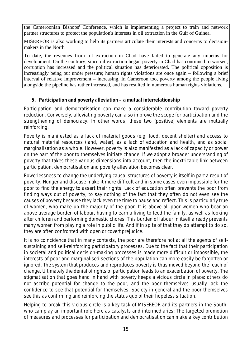the Cameroonian Bishops' Conference, which is implementing a project to train and network partner structures to protect the population's interests in oil extraction in the Gulf of Guinea.

MISEREOR is also working to help its partners articulate their interests and concerns to decisionmakers in the North.

To date, the revenues from oil extraction in Chad have failed to generate any impetus for development. On the contrary, since oil extraction began poverty in Chad has continued to worsen, corruption has increased and the political situation has deteriorated. The political opposition is increasingly being put under pressure; human rights violations are once again – following a brief interval of relative improvement – increasing. In Cameroon too, poverty among the people living alongside the pipeline has rather increased, and has resulted in numerous human rights violations.

# **5. Participation and poverty alleviation – a mutual interrelationship**

Participation and democratisation can make a considerable contribution toward poverty reduction. Conversely, alleviating poverty can also improve the scope for participation and the strengthening of democracy. In other words, these two (positive) elements are mutually reinforcing.

Poverty is manifested as a lack of material goods (e.g. food, decent shelter) and access to natural material resources (land, water), as a lack of education and health, and as social marginalisation as a whole. However, poverty is also manifested as a lack of capacity or power on the part of the poor to themselves initiate change. If we adopt a broader understanding of poverty that takes these various dimensions into account, then the inextricable link between participation, democratisation and poverty alleviation becomes clear.

Powerlessness to change the underlying causal structures of poverty is itself in part a result of poverty. Hunger and disease make it more difficult and in some cases even impossible for the poor to find the energy to assert their rights. Lack of education often prevents the poor from finding ways out of poverty, to say nothing of the fact that they often do not even see the causes of poverty because they lack even the time to pause and reflect. This is particularly true of women, who make up the majority of the poor. It is above all poor women who bear an above-average burden of labour, having to earn a living to feed the family, as well as looking after children and performing domestic chores. This burden of labour in itself already prevents many women from playing a role in public life. And if in spite of that they do attempt to do so, they are often confronted with open or covert prejudice.

It is no coincidence that in many contexts, the poor are therefore not at all the agents of selfsustaining and self-reinforcing participatory processes. Due to the fact that their participation in societal and political decision-making processes is made more difficult or impossible, the interests of poor and marginalised sections of the population can more easily be forgotten or ignored. The system that produces and reproduces poverty is thus moved beyond the reach of change. Ultimately the denial of rights of participation leads to an exacerbation of poverty. The stigmatisation that goes hand in hand with poverty keeps a vicious circle in place: others do not ascribe potential for change to the poor, and the poor themselves usually lack the confidence to see that potential for themselves. Society in general and the poor themselves see this as confirming and reinforcing the status quo of their hopeless situation.

Helping to break this vicious circle is a key task of MISEREOR and its partners in the South, who can play an important role here as catalysts and intermediaries: The targeted promotion of measures and processes for participation and democratisation can make a key contribution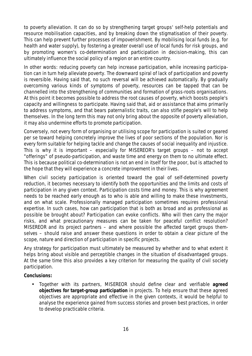to poverty alleviation. It can do so by strengthening target groups' self-help potentials and resource mobilisation capacities, and by breaking down the stigmatisation of their poverty. This can help prevent further processes of impoverishment. By mobilising local funds (e.g. for health and water supply), by fostering a greater overall use of local funds for risk groups, and by promoting women's co-determination and participation in decision-making, this can ultimately influence the social policy of a region or an entire country.

In other words: reducing poverty can help increase participation, while increasing participation can in turn help alleviate poverty. The downward spiral of lack of participation and poverty is reversible. Having said that, no such reversal will be achieved automatically. By gradually overcoming various kinds of symptoms of poverty, resources can be tapped that can be channelled into the strengthening of communities and formation of grass-roots organisations. At this point it becomes possible to address the root causes of poverty, which boosts people's capacity and willingness to participate. Having said that, aid or assistance that aims primarily to address symptoms, and that bears paternalistic traits, can also stifle people's will to help themselves. In the long term this may not only bring about the opposite of poverty alleviation, it may also undermine efforts to promote participation.

Conversely, not every form of organising or utilising scope for participation is suited or geared per se toward helping concretely improve the lives of poor sections of the population. Nor is every form suitable for helping tackle and change the causes of social inequality and injustice. This is why it is important – especially for MISEREOR's target groups – not to accept "offerings" of pseudo-participation, and waste time and energy on them to no ultimate effect. This is because political co-determination is not an end in itself for the poor, but is attached to the hope that they will experience a concrete improvement in their lives.

When civil society participation is oriented toward the goal of self-determined poverty reduction, it becomes necessary to identify both the opportunities and the limits and costs of participation in any given context. Participation costs time and money. This is why agreement needs to be reached early enough as to who is able and willing to make these investments, and on what scale. Professionally managed participation sometimes requires professional expertise. In such cases, how can participation that is both as broad and as professional as possible be brought about? Participation can evoke conflicts. Who will then carry the major risks, and what precautionary measures can be taken for peaceful conflict resolution? MISEREOR and its project partners – and where possible the affected target groups themselves – should raise and answer these questions in order to obtain a clear picture of the scope, nature and direction of participation in specific projects.

Any strategy for participation must ultimately be measured by whether and to what extent it helps bring about visible and perceptible changes in the situation of disadvantaged groups. At the same time this also provides a key criterion for measuring the quality of civil society participation.

**Conclusions:**

• Together with its partners, MISEREOR should define clear and verifiable **agreed objectives for target-group participation** in projects. To help ensure that these agreed objectives are appropriate and effective in the given contexts, it would be helpful to analyse the experience gained from success stories and proven best practices, in order to develop practicable criteria.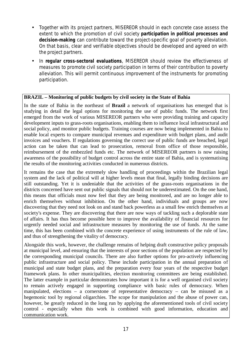- Together with its project partners, MISEREOR should in each concrete case assess the extent to which the promotion of civil society **participation in political processes and decision-making** can contribute toward the project-specific goal of poverty alleviation. On that basis, clear and verifiable objectives should be developed and agreed on with the project partners.
- In **regular cross-sectoral evaluations**, MISEREOR should review the effectiveness of measures to promote civil society participation in terms of their contribution to poverty alleviation. This will permit continuous improvement of the instruments for promoting participation.

#### **BRAZIL – Monitoring of public budgets by civil society in the State of Bahia**

In the state of Bahia in the northeast of **Brazil** a network of organisations has emerged that is studying in detail the legal options for monitoring the use of public funds. The network first emerged from the work of various MISEREOR partners who were providing training and capacity development inputs to grass-roots organisations, enabling them to influence local infrastructural and social policy, and monitor public budgets. Training courses are now being implemented in Bahia to enable local experts to compare municipal revenues and expenditure with budget plans, and audit invoices and vouchers. If regulations governing the correct use of public funds are breached, legal action can be taken that can lead to prosecution, removal from office of those responsible, reimbursement of the embezzled funds etc. The network of MISEREOR partners is now raising awareness of the possibility of budget control across the entire state of Bahia, and is systematising the results of the monitoring activities conducted in numerous districts.

It remains the case that the extremely slow handling of proceedings within the Brazilian legal system and the lack of political will at higher levels mean that final, legally binding decisions are still outstanding. Yet it is undeniable that the activities of the grass-roots organisations in the districts concerned have sent out public signals that should not be underestimated. On the one hand, this means that officials must now feel that they are being monitored, and are no longer able to enrich themselves without inhibition. On the other hand, individuals and groups are now discovering that they need not look on and stand back powerless as a small few enrich themselves at society's expense. They are discovering that there are now ways of tackling such a deplorable state of affairs. It has thus become possible here to improve the availability of financial resources for urgently needed social and infrastructure measures by monitoring the use of funds. At the same time, this has been combined with the concrete experience of using instruments of the rule of law, and thus of strengthening the vitality of democracy.

Alongside this work, however, the challenge remains of helping draft constructive policy proposals at municipal level, and ensuring that the interests of poor sections of the population are respected by the corresponding municipal councils. There are also further options for pro-actively influencing public infrastructure and social policy. These include participation in the annual preparation of municipal and state budget plans, and the preparation every four years of the respective budget framework plans. In other municipalities, election monitoring committees are being established. The latter example in particular demonstrates how important it is for a well organised civil society to remain actively engaged in supporting compliance with basic rules of democracy. When manipulated, elections – a cornerstone of representative democracy – can be misused as a hegemonic tool by regional oligarchies. The scope for manipulation and the abuse of power can, however, be greatly reduced in the long run by applying the aforementioned tools of civil society control - especially when this work is combined with good information, education and communication work.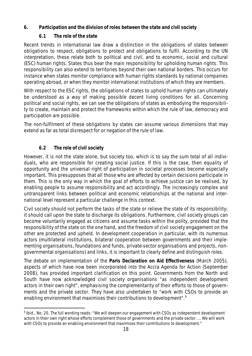- **6. Participation and the division of roles between the state and civil society**
	- **6.1 The role of the state**

Recent trends in international law draw a distinction in the obligations of states between obligations to respect, obligations to protect and obligations to fulfil. According to the UN interpretation, these relate both to political and civil, and to economic, social and cultural (ESC) human rights. States thus bear the main responsibility for upholding human rights. This responsibility can also extend to territories beyond their own national borders. This occurs for instance when states monitor compliance with human rights standards by national companies operating abroad, or when they monitor international institutions of which they are members.

With respect to the ESC rights, the obligations of states to uphold human rights can ultimately be understood as a way of making possible decent living conditions for all. Concerning political and social rights, we can see the obligations of states as embodying the responsibility to create, maintain and protect the frameworks within which the rule of law, democracy and participation are possible.

The non-fulfilment of these obligations by states can assume various dimensions that may extend as far as total disrespect for or negation of the rule of law.

# **6.2 The role of civil society**

However, it is not the state alone, but society too, which is to say the sum total of all individuals, who are responsible for creating social justice. If this is the case, then equality of opportunity and the universal right of participation in societal processes become especially important. This presupposes that all those who are affected by certain decisions participate in them. This is the only way in which the goal of efforts to achieve justice can be realised, by enabling people to assume responsibility and act accordingly. The increasingly complex and untransparent links between political and economic relationships at the national and international level represent a particular challenge in this context.

Civil society should not perform the tasks of the state or relieve the state of its responsibility; it should call upon the state to discharge its obligations. Furthermore, civil society groups can become voluntarily engaged as citizens and assume tasks within the polity, provided that the responsibility of the state on the one hand, and the freedom of civil society engagement on the other are protected and upheld. In development cooperation in particular, with its numerous actors (multilateral institutions, bilateral cooperation between governments and their implementing organisations, foundations and funds, private-sector organisations and projects, nongovernmental organisations) and links, it is important to clearly define and distinguish roles.

The debate on implementation of the **Paris Declaration on Aid Effectiveness** (March 2005), aspects of which have now been incorporated into the Accra Agenda for Action (September 2008), has provided important clarification on this point. Governments from the North and South have now acknowledged civil society organisations "as independent development actors in their own right", emphasising the complementarity of their efforts to those of governments and the private sector. They have also undertaken to "work with CSOs to provide an enabling environment that maximises their contributions to development".<sup>8</sup>

<sup>&</sup>lt;sup>8</sup> Ibid., No. 20. The full wording reads: "We will deepen our engagement with CSOs as independent development actors in their own right whose efforts complement those of governments and the private sector. ... We will work with CSOs to provide an enabling environment that maximises their contributions to development."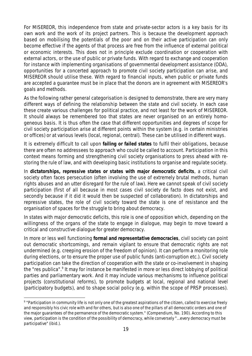For MISEREOR, this independence from state and private-sector actors is a key basis for its own work and the work of its project partners. This is because the development approach based on mobilising the potentials of the poor and on their active participation can only become effective if the agents of that process are free from the influence of external political or economic interests. This does not in principle exclude coordination or cooperation with external actors, or the use of public or private funds. With regard to exchange and cooperation for instance with implementing organisations of governmental development assistance (ODA), opportunities for a concerted approach to promote civil society participation can arise, and MISEREOR should utilise these. With regard to financial inputs, when public or private funds are accepted a guarantee must be in place that the donors are in agreement with MISEREOR's goals and methods.

As the following rather general categorisation is designed to demonstrate, there are very many different ways of defining the relationship between the state and civil society. In each case these create various challenges for political practice, and not least for the work of MISEREOR. It should always be remembered too that states are never organised on an entirely homogeneous basis. It is thus often the case that different opportunities and degrees of scope for civil society participation arise at different points within the system (e.g. in certain ministries or offices) or at various levels (local, regional, central). These can be utilised in different ways.

It is extremely difficult to call upon **failing or failed states** to fulfil their obligations, because there are often no addressees to approach who could be called to account. Participation in this context means forming and strengthening civil society organisations to press ahead with restoring the rule of law, and with developing basic institutions to organise and regulate society.

In **dictatorships, repressive states or states with major democratic deficits**, a critical civil society often faces persecution (often involving the use of extremely brutal methods, human rights abuses and an utter disregard for the rule of law). Here we cannot speak of civil society participation (first of all because in most cases civil society de facto does not exist, and secondly because if it did it would then be suspected of collaboration). In dictatorships and repressive states, the role of civil society toward the state is one of resistance and the organisation of spaces for the struggle to bring about democracy.

In states with major democratic deficits, this role is one of opposition which, depending on the willingness of the organs of the state to engage in dialogue, may begin to move toward a critical and constructive dialogue for greater democracy.

In more or less well functioning **formal and representative democracies**, civil society can point out democratic shortcomings, and remain vigilant to ensure that democratic rights are not undermined (e.g. creeping erosion of the freedom of opinion). It can perform a monitoring role during elections, or to ensure the proper use of public funds (anti-corruption etc.). Civil society participation can take the direction of cooperation with the state or co-involvement in shaping the "res publica".<sup>9</sup> It may for instance be manifested in more or less direct lobbying of political parties and parliamentary work. And it may include various mechanisms to influence political projects (constitutional reforms), to promote budgets at local, regional and national level (participatory budgets), and to shape social policy (e.g. within the scope of PRSP processes).

<sup>&</sup>lt;sup>9</sup> "Participation in community life is not only one of the greatest aspirations of the citizen, called to exercise freely and responsibly his civic role with and for others, but is also one of the pillars of all democratic orders and one of the major guarantees of the permanence of the democratic system." (Compendium, No. 190). According to this view, participation is the condition of the possibility of democracy, while conversely "…every democracy must be participative" (ibid.).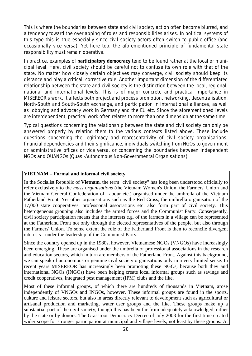This is where the boundaries between state and civil society action often become blurred, and a tendency toward the overlapping of roles and responsibilities arises. In political systems of this type this is true especially since civil society actors often switch to public office (and occasionally vice versa). Yet here too, the aforementioned principle of fundamental state responsibility must remain operative.

In practice, examples of **participatory democracy** tend to be found rather at the local or municipal level. Here, civil society should be careful not to confuse its own role with that of the state. No matter how closely certain objectives may converge, civil society should keep its distance and play a critical, corrective role. Another important dimension of the differentiated relationship between the state and civil society is the distinction between the local, regional, national and international levels. This is of major concrete and practical importance in MISEREOR's work. It affects both project and process promotion, networking, decentralisation, North-South and South-South exchange, and participation in international alliances, as well as lobbying and advocacy work in Germany and the EU etc. Since the aforementioned levels are interdependent, practical work often relates to more than one dimension at the same time.

Typical questions concerning the relationship between the state and civil society can only be answered properly by relating them to the various contexts listed above. These include questions concerning the legitimacy and representativity of civil society organisations, financial dependencies and their significance, individuals switching from NGOs to government or administrative offices or vice versa, or concerning the boundaries between independent NGOs and QUANGOs (Quasi-Autonomous Non-Governmental Organisations).

#### **VIETNAM – Formal and informal civil society**

In the Socialist Republic of **Vietnam**, the term "civil society" has long been understood officially to refer exclusively to the *mass organisations* (the Vietnam Women's Union, the Farmers' Union and the Vietnam General Confederation of Labour etc.) organised under the umbrella of the Vietnam Fatherland Front. Yet other organisations such as the Red Cross, the umbrella organisation of the 17,000 state cooperatives, professional associations etc. also form part of civil society. This heterogeneous grouping also includes the armed forces and the Communist Party. Consequently, civil society participation means that the interests e.g. of the farmers in a village can be represented at the Fatherland Front not only through the elected representatives of the people, but also through the Farmers' Union. To some extent the role of the Fatherland Front is then to reconcile divergent interests - under the leadership of the Communist Party.

Since the country opened up in the 1980s, however, Vietnamese NGOs (VNGOs) have increasingly been emerging. These are organised under the umbrella of professional associations in the research and education sectors, which in turn are members of the Fatherland Front. Against this background, we can speak of autonomous or genuine civil society organisations only in a very limited sense. In recent years MISEREOR has increasingly been promoting these NGOs, because both they and international NGOs (INGOs) have been helping create local informal groups such as savings and credit cooperatives, integrated pest management (IPM) clubs and the like.

Most of these informal groups, of which there are hundreds of thousands in Vietnam, arose independently of VNGOs and INGOs, however. These informal groups are found in the sports, culture and leisure sectors, but also in areas directly relevant to development such as agricultural or artisanal production and marketing, water user groups and the like. These groups make up a substantial part of the civil society, though this has been far from adequately acknowledged, either by the state or by donors. The Grassroot Democracy Decree of July 2003 for the first time created wider scope for stronger participation at municipal and village levels, not least by these groups. At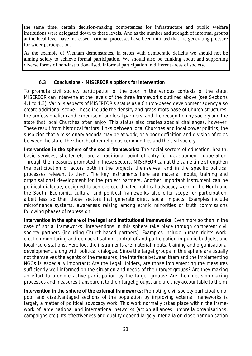the same time, certain decision-making competences for infrastructure and public welfare institutions were delegated down to these levels. And as the number and strength of informal groups at the local level have increased, national processes have been initiated that are generating pressure for wider participation.

As the example of Vietnam demonstrates, in states with democratic deficits we should not be aiming solely to achieve formal participation. We should also be thinking about and supporting diverse forms of non-institutionalised, informal participation in different areas of society.

# **6.3 Conclusions – MISEREOR's options for intervention**

To promote civil society participation of the poor in the various contexts of the state, MISEREOR can intervene at the levels of the three frameworks outlined above (see Sections 4.1 to 4.3). Various aspects of MISEREOR's status as a Church-based development agency also create additional scope. These include the density and grass-roots base of Church structures, the professionalism and expertise of our local partners, and the recognition by society and the state that local Churches often enjoy. This status also creates special challenges, however. These result from historical factors, links between local Churches and local power politics, the suspicion that a missionary agenda may be at work, or a poor definition and division of roles between the state, the Church, other religious communities and the civil society.

**Intervention in the sphere of the social frameworks:** The social sectors of education, health, basic services, shelter etc. are a traditional point of entry for development cooperation. Through the measures promoted in these sectors, MISEREOR can at the same time strengthen the participation of actors both in the projects themselves, and in the specific political processes relevant to them. The key instruments here are material inputs, training and organisational development for the project partners. Another important instrument can be political dialogue, designed to achieve coordinated political advocacy work in the North and the South. Economic, cultural and political frameworks also offer scope for participation, albeit less so than those sectors that generate direct social impacts. Examples include microfinance systems, awareness raising among ethnic minorities or truth commissions following phases of repression.

**Intervention in the sphere of the legal and institutional frameworks:** Even more so than in the case of social frameworks, interventions in this sphere take place through competent civil society partners (including Church-based partners). Examples include human rights work, election monitoring and democratisation, control of and participation in public budgets, and local radio stations. Here too, the instruments are material inputs, training and organisational development, along with political dialogue. Since the target groups in this sphere are usually not themselves the agents of the measures, the interface between them and the implementing NGOs is especially important: Are the Legal Holders, are those implementing the measures sufficiently well informed on the situation and needs of their target groups? Are they making an effort to promote active participation by the target groups? Are their decision-making processes and measures transparent to their target groups, and are they accountable to them?

**Intervention in the sphere of the external frameworks:** Promoting civil society participation of poor and disadvantaged sections of the population by improving external frameworks is largely a matter of political advocacy work. This work normally takes place within the framework of large national and international networks (action alliances, umbrella organisations, campaigns etc.). Its effectiveness and quality depend largely inter alia on close harmonisation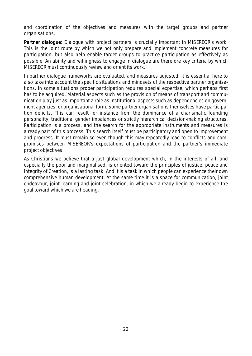and coordination of the objectives and measures with the target groups and partner organisations.

**Partner dialogue:** Dialogue with project partners is crucially important in MISEREOR's work. This is the joint route by which we not only prepare and implement concrete measures for participation, but also help enable target groups to practice participation as effectively as possible. An ability and willingness to engage in dialogue are therefore key criteria by which MISEREOR must continuously review and orient its work.

In partner dialogue frameworks are evaluated, and measures adjusted. It is essential here to also take into account the specific situations and mindsets of the respective partner organisations. In some situations proper participation requires special expertise, which perhaps first has to be acquired. Material aspects such as the provision of means of transport and communication play just as important a role as institutional aspects such as dependencies on government agencies, or organisational form. Some partner organisations themselves have participation deficits. This can result for instance from the dominance of a charismatic founding personality, traditional gender imbalances or strictly hierarchical decision-making structures. Participation is a process, and the search for the appropriate instruments and measures is already part of this process. This search itself must be participatory and open to improvement and progress. It must remain so even though this may repeatedly lead to conflicts and compromises between MISEREOR's expectations of participation and the partner's immediate project objectives.

As Christians we believe that a just global development which, in the interests of all, and especially the poor and marginalised, is oriented toward the principles of justice, peace and integrity of Creation, is a lasting task. And it is a task in which people can experience their own comprehensive human development. At the same time it is a space for communication, joint endeavour, joint learning and joint celebration, in which we already begin to experience the goal toward which we are heading.